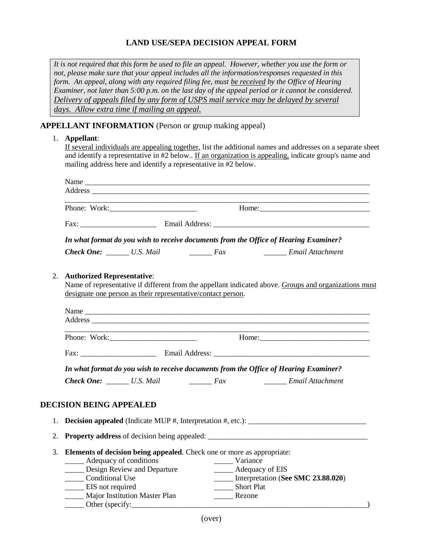## **LAND USE/SEPA DECISION APPEAL FORM**

*It is not required that this form be used to file an appeal. However, whether you use the form or not, please make sure that your appeal includes all the information/responses requested in this form. An appeal, along with any required filing fee, must be received by the Office of Hearing Examiner, not later than 5:00 p.m. on the last day of the appeal period or it cannot be considered. Delivery of appeals filed by any form of USPS mail service may be delayed by several days. Allow extra time if mailing an appeal.*

## **APPELLANT INFORMATION** (Person or group making appeal)

## 1. **Appellant**:

If several individuals are appealing together, list the additional names and addresses on a separate sheet and identify a representative in #2 below.. If an organization is appealing, indicate group's name and mailing address here and identify a representative in #2 below.

|    |                                                                                                                                                                                                            |                                                                                      |                                                                                                                             | Address experience and the contract of the contract of the contract of the contract of the contract of the contract of the contract of the contract of the contract of the contract of the contract of the contract of the con |  |  |
|----|------------------------------------------------------------------------------------------------------------------------------------------------------------------------------------------------------------|--------------------------------------------------------------------------------------|-----------------------------------------------------------------------------------------------------------------------------|--------------------------------------------------------------------------------------------------------------------------------------------------------------------------------------------------------------------------------|--|--|
|    |                                                                                                                                                                                                            |                                                                                      |                                                                                                                             |                                                                                                                                                                                                                                |  |  |
|    |                                                                                                                                                                                                            |                                                                                      |                                                                                                                             |                                                                                                                                                                                                                                |  |  |
|    |                                                                                                                                                                                                            | In what format do you wish to receive documents from the Office of Hearing Examiner? |                                                                                                                             |                                                                                                                                                                                                                                |  |  |
|    |                                                                                                                                                                                                            |                                                                                      |                                                                                                                             | <b>Check One:</b> <i>U.S. Mail Lease Lieux Email Attachment</i>                                                                                                                                                                |  |  |
| 2. | <b>Authorized Representative:</b><br>Name of representative if different from the appellant indicated above. Groups and organizations must<br>designate one person as their representative/contact person. |                                                                                      |                                                                                                                             |                                                                                                                                                                                                                                |  |  |
|    | <u> 1989 - Johann Stoff, deutscher Stoff, der Stoff, der Stoff, der Stoff, der Stoff, der Stoff, der Stoff, der S</u>                                                                                      |                                                                                      |                                                                                                                             |                                                                                                                                                                                                                                |  |  |
|    |                                                                                                                                                                                                            |                                                                                      |                                                                                                                             |                                                                                                                                                                                                                                |  |  |
|    |                                                                                                                                                                                                            |                                                                                      |                                                                                                                             |                                                                                                                                                                                                                                |  |  |
|    | In what format do you wish to receive documents from the Office of Hearing Examiner?                                                                                                                       |                                                                                      |                                                                                                                             |                                                                                                                                                                                                                                |  |  |
|    |                                                                                                                                                                                                            | <b>Check One:</b> U.S. Mail Fax                                                      |                                                                                                                             | Email Attachment                                                                                                                                                                                                               |  |  |
|    | <b>DECISION BEING APPEALED</b>                                                                                                                                                                             |                                                                                      |                                                                                                                             |                                                                                                                                                                                                                                |  |  |
| 1. |                                                                                                                                                                                                            |                                                                                      |                                                                                                                             |                                                                                                                                                                                                                                |  |  |
| 2. |                                                                                                                                                                                                            |                                                                                      |                                                                                                                             |                                                                                                                                                                                                                                |  |  |
| 3. | ______ Adequacy of conditions<br>_____ Conditional Use<br>_____ EIS not required                                                                                                                           | Design Review and Departure<br>_____ Major Institution Master Plan                   | Elements of decision being appealed. Check one or more as appropriate:<br>Variance<br>_______ Short Plat<br>________ Rezone | <b>EXECUTE:</b> Adequacy of EIS<br>____ Interpretation (See SMC 23.88.020)                                                                                                                                                     |  |  |